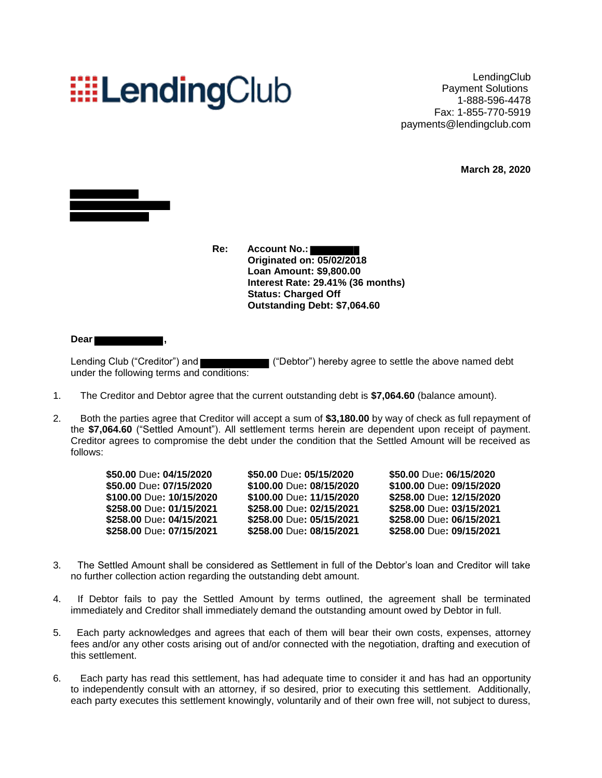## **EELendingClub**

LendingClub Payment Solutions 1-888-596-4478 Fax: 1-855-770-5919 payments@lendingclub.com

**March 28, 2020**



**Re: Account No.: Originated on: 05/02/2018 Loan Amount: \$9,800.00 Interest Rate: 29.41% (36 months) Status: Charged Off Outstanding Debt: \$7,064.60**

**Dear ,**

Lending Club ("Creditor") and ("Debtor") hereby agree to settle the above named debt under the following terms and conditions:

- 1. The Creditor and Debtor agree that the current outstanding debt is **\$7,064.60** (balance amount).
- 2. Both the parties agree that Creditor will accept a sum of **\$3,180.00** by way of check as full repayment of the **\$7,064.60** ("Settled Amount"). All settlement terms herein are dependent upon receipt of payment. Creditor agrees to compromise the debt under the condition that the Settled Amount will be received as follows:

| \$50.00 Due: 04/15/2020<br>\$50.00 Due: 07/15/2020<br>\$100.00 Due: 10/15/2020<br>\$258.00 Due: 01/15/2021<br>\$258.00 Due: 04/15/2021 | \$50.00 Due: 05/15/2020<br>\$100.00 Due: 08/15/2020<br>\$100.00 Due: 11/15/2020<br>\$258.00 Due: 02/15/2021<br>\$258.00 Due: 05/15/2021 | \$50.00 Due: 06/15/2020<br>\$100.00 Due: 09/15/2020<br>\$258.00 Due: 12/15/2020<br>\$258.00 Due: 03/15/2021<br>\$258.00 Due: 06/15/2021 |                          |                          |                          |
|----------------------------------------------------------------------------------------------------------------------------------------|-----------------------------------------------------------------------------------------------------------------------------------------|-----------------------------------------------------------------------------------------------------------------------------------------|--------------------------|--------------------------|--------------------------|
|                                                                                                                                        |                                                                                                                                         |                                                                                                                                         | \$258.00 Due: 07/15/2021 | \$258.00 Due: 08/15/2021 | \$258.00 Due: 09/15/2021 |

- 3. The Settled Amount shall be considered as Settlement in full of the Debtor's loan and Creditor will take no further collection action regarding the outstanding debt amount.
- 4. If Debtor fails to pay the Settled Amount by terms outlined, the agreement shall be terminated immediately and Creditor shall immediately demand the outstanding amount owed by Debtor in full.
- 5. Each party acknowledges and agrees that each of them will bear their own costs, expenses, attorney fees and/or any other costs arising out of and/or connected with the negotiation, drafting and execution of this settlement.
- 6. Each party has read this settlement, has had adequate time to consider it and has had an opportunity to independently consult with an attorney, if so desired, prior to executing this settlement. Additionally, each party executes this settlement knowingly, voluntarily and of their own free will, not subject to duress,